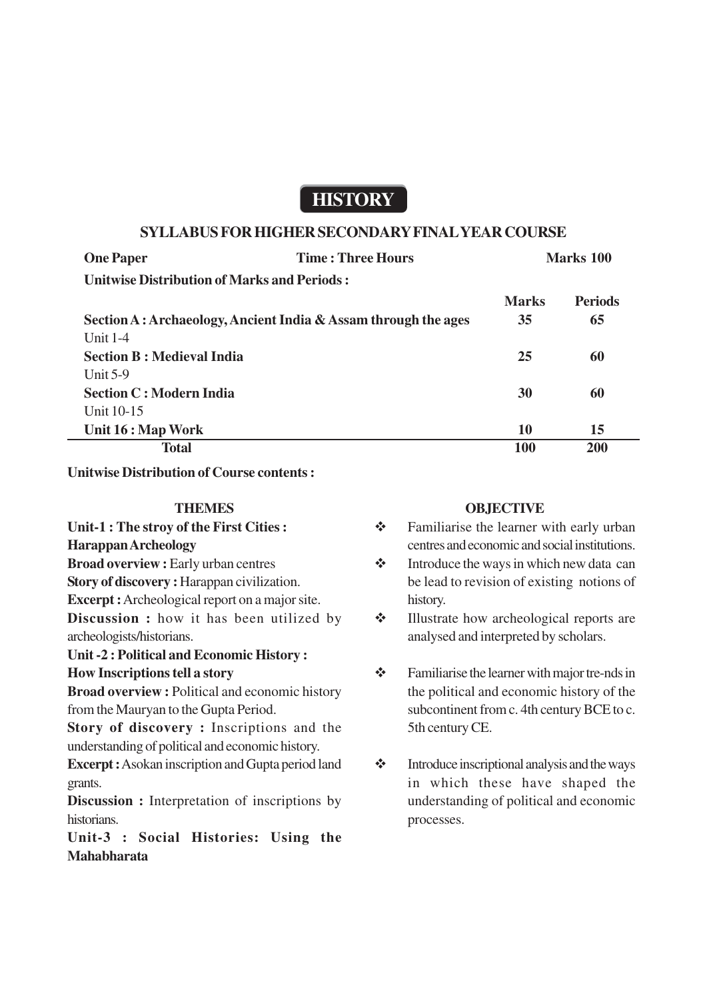# **HISTORY**

### **SYLLABUS FOR HIGHER SECONDARY FINAL YEAR COURSE**

| <b>One Paper</b>                                   | <b>Time: Three Hours</b> | <b>Marks</b> 100 |                |
|----------------------------------------------------|--------------------------|------------------|----------------|
| <b>Unitwise Distribution of Marks and Periods:</b> |                          |                  |                |
|                                                    |                          | <b>Marks</b>     | <b>Periods</b> |

| Section A: Archaeology, Ancient India & Assam through the ages | 35  | 65  |
|----------------------------------------------------------------|-----|-----|
| Unit $1-4$                                                     |     |     |
| <b>Section B: Medieval India</b>                               | 25  | 60  |
| Unit $5-9$                                                     |     |     |
| <b>Section C: Modern India</b>                                 | 30  | 60  |
| Unit $10-15$                                                   |     |     |
| Unit 16 : Map Work                                             | 10  | 15  |
| <b>Total</b>                                                   | 100 | 200 |

**Unitwise Distribution of Course contents :**

#### **THEMES**

**Unit-1 : The stroy of the First Cities : Harappan Archeology Broad overview :** Early urban centres **Story of discovery :** Harappan civilization. **Excerpt :** Archeological report on a major site. **Discussion :** how it has been utilized by archeologists/historians.

**Unit -2 : Political and Economic History : How Inscriptions tell a story**

**Broad overview :** Political and economic history from the Mauryan to the Gupta Period.

**Story of discovery :** Inscriptions and the understanding of political and economic history.

**Excerpt :** Asokan inscription and Gupta period land grants.

**Discussion :** Interpretation of inscriptions by historians.

**Unit-3 : Social Histories: Using the Mahabharata**

### **OBJECTIVE**

- Familiarise the learner with early urban centres and economic and social institutions.
- $\triangleleft$  Introduce the ways in which new data can be lead to revision of existing notions of history.
- Illustrate how archeological reports are analysed and interpreted by scholars.
- Familiarise the learner with major tre-nds in the political and economic history of the subcontinent from c. 4th century BCE to c. 5th century CE.
- $\triangleleft$  Introduce inscriptional analysis and the ways in which these have shaped the understanding of political and economic processes.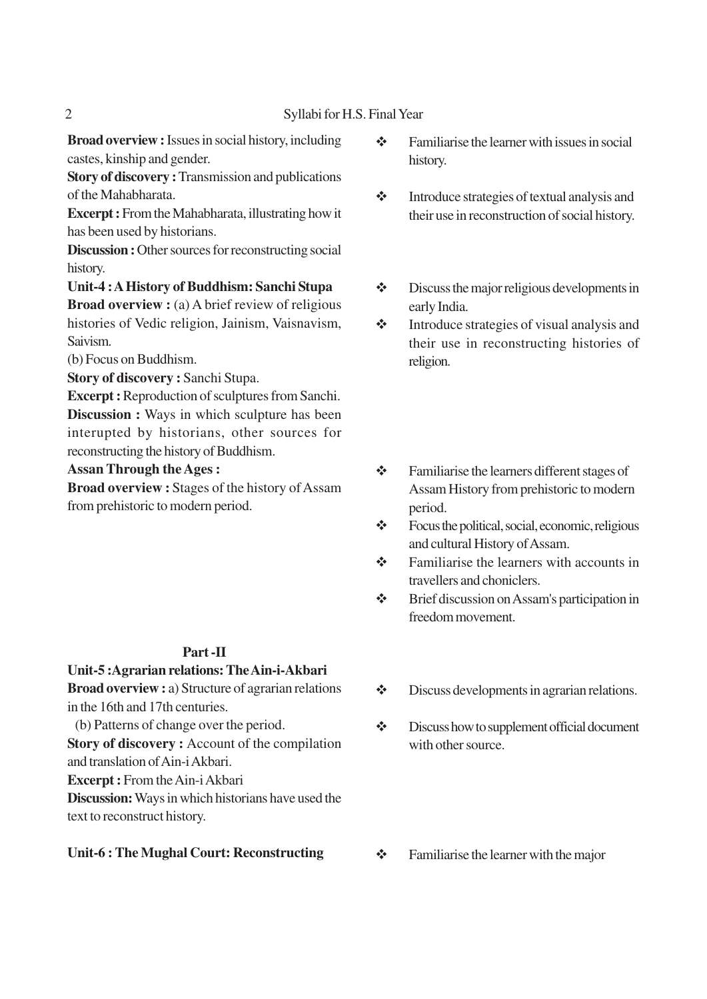**Broad overview :** Issues in social history, including castes, kinship and gender.

**Story of discovery :** Transmission and publications of the Mahabharata.

**Excerpt :** From the Mahabharata, illustrating how it has been used by historians.

**Discussion :** Other sources for reconstructing social history.

# **Unit-4 : A History of Buddhism: Sanchi Stupa**

**Broad overview :** (a) A brief review of religious histories of Vedic religion, Jainism, Vaisnavism, Saivism.

(b) Focus on Buddhism.

**Story of discovery :** Sanchi Stupa.

**Excerpt :** Reproduction of sculptures from Sanchi. **Discussion :** Ways in which sculpture has been interupted by historians, other sources for reconstructing the history of Buddhism.

### **Assan Through the Ages :**

**Broad overview :** Stages of the history of Assam from prehistoric to modern period.

### **Part -II**

**Unit-5 :Agrarian relations: The Ain-i-Akbari Broad overview :** a) Structure of agrarian relations in the 16th and 17th centuries.

(b) Patterns of change over the period.

**Story of discovery :** Account of the compilation and translation of Ain-i Akbari.

**Excerpt :** From the Ain-i Akbari

**Discussion:** Ways in which historians have used the text to reconstruct history.

### **Unit-6 : The Mughal Court: Reconstructing**

- $\mathbf{\hat{\cdot}}$  Familiarise the learner with issues in social history.
- $\triangleleft$  Introduce strategies of textual analysis and their use in reconstruction of social history.
- $\triangleleft$  Discuss the major religious developments in early India.
- $\triangle$  Introduce strategies of visual analysis and their use in reconstructing histories of religion.
- $\div$  Familiarise the learners different stages of Assam History from prehistoric to modern period.
- $\diamondsuit$  Focus the political, social, economic, religious and cultural History of Assam.
- $\div$  Familiarise the learners with accounts in travellers and choniclers.
- Brief discussion on Assam's participation in freedom movement.
- $\triangleleft$  Discuss developments in agrarian relations.
- $\div$  Discuss how to supplement official document with other source.
- $\triangle$  Familiarise the learner with the major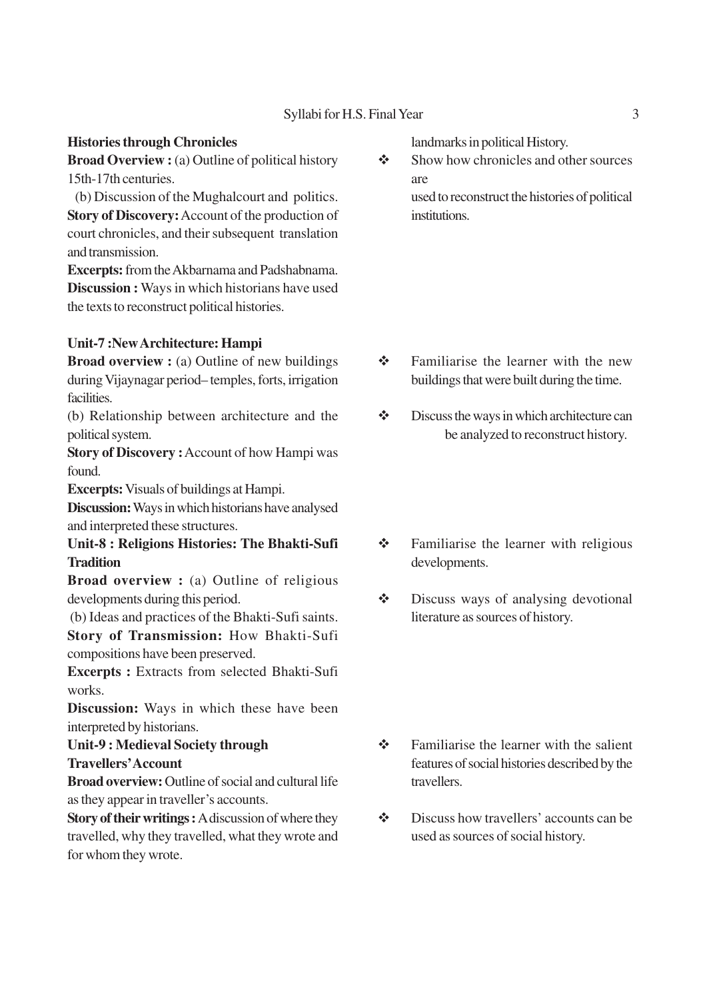#### Syllabi for H.S. Final Year 3

#### **Histories through Chronicles**

**Broad Overview :** (a) Outline of political history 15th-17th centuries.

 (b) Discussion of the Mughalcourt and politics. **Story of Discovery:** Account of the production of court chronicles, and their subsequent translation and transmission.

**Excerpts:** from the Akbarnama and Padshabnama. **Discussion :** Ways in which historians have used the texts to reconstruct political histories.

#### **Unit-7 :New Architecture: Hampi**

**Broad overview :** (a) Outline of new buildings during Vijaynagar period– temples, forts, irrigation facilities.

(b) Relationship between architecture and the political system.

**Story of Discovery :** Account of how Hampi was found.

**Excerpts:** Visuals of buildings at Hampi.

**Discussion:** Ways in which historians have analysed and interpreted these structures.

**Unit-8 : Religions Histories: The Bhakti-Sufi Tradition**

**Broad overview :** (a) Outline of religious developments during this period.

(b) Ideas and practices of the Bhakti-Sufi saints.

**Story of Transmission:** How Bhakti-Sufi compositions have been preserved.

**Excerpts :** Extracts from selected Bhakti-Sufi works.

**Discussion:** Ways in which these have been interpreted by historians.

**Unit-9 : Medieval Society through Travellers' Account**

**Broad overview:** Outline of social and cultural life as they appear in traveller's accounts.

**Story of their writings :** A discussion of where they travelled, why they travelled, what they wrote and for whom they wrote.

landmarks in political History.

 $\triangle$  Show how chronicles and other sources are used to reconstruct the histories of political institutions.

- $\div$  Familiarise the learner with the new buildings that were built during the time.
- $\triangle$  Discuss the ways in which architecture can be analyzed to reconstruct history.
- Familiarise the learner with religious developments.
- Discuss ways of analysing devotional literature as sources of history.

- $\triangle$  Familiarise the learner with the salient features of social histories described by the travellers.
- Discuss how travellers' accounts can be used as sources of social history.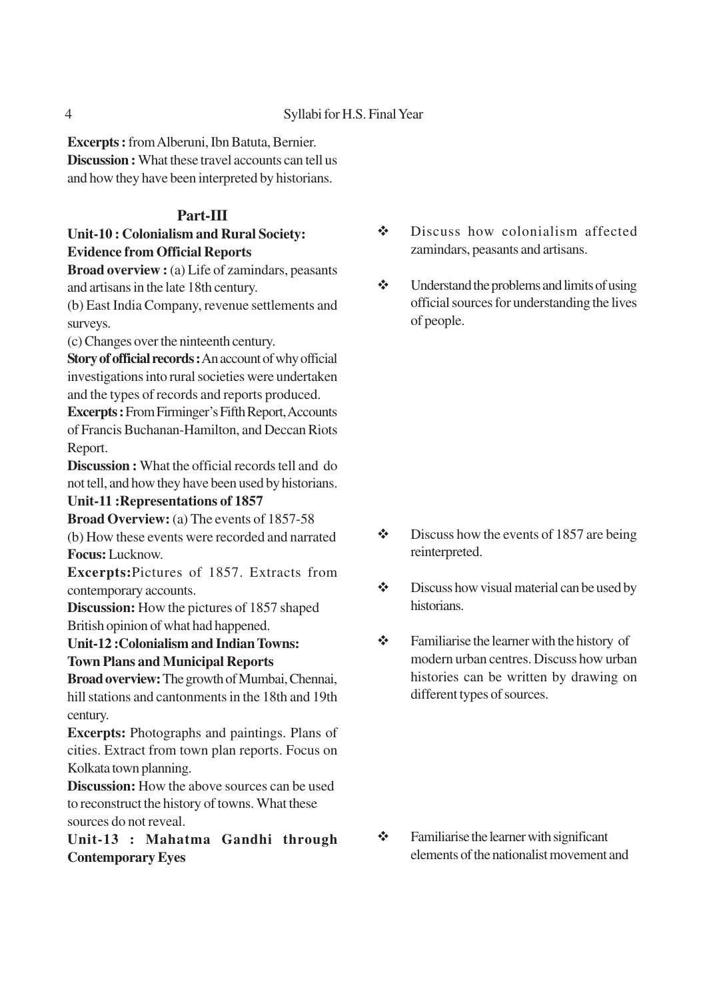**Excerpts :** from Alberuni, Ibn Batuta, Bernier. **Discussion :** What these travel accounts can tell us and how they have been interpreted by historians.

# **Part-III**

# **Unit-10 : Colonialism and Rural Society: Evidence from Official Reports**

**Broad overview :** (a) Life of zamindars, peasants and artisans in the late 18th century.

(b) East India Company, revenue settlements and surveys.

(c) Changes over the ninteenth century.

**Story of official records :** An account of why official investigations into rural societies were undertaken and the types of records and reports produced.

**Excerpts :** From Firminger's Fifth Report, Accounts of Francis Buchanan-Hamilton, and Deccan Riots Report.

**Discussion :** What the official records tell and do not tell, and how they have been used by historians.

# **Unit-11 :Representations of 1857**

**Broad Overview:** (a) The events of 1857-58 (b) How these events were recorded and narrated **Focus:** Lucknow.

**Excerpts:**Pictures of 1857. Extracts from contemporary accounts.

**Discussion:** How the pictures of 1857 shaped British opinion of what had happened.

# **Unit-12 :Colonialism and Indian Towns: Town Plans and Municipal Reports**

**Broad overview:** The growth of Mumbai, Chennai, hill stations and cantonments in the 18th and 19th century.

**Excerpts:** Photographs and paintings. Plans of cities. Extract from town plan reports. Focus on Kolkata town planning.

**Discussion:** How the above sources can be used to reconstruct the history of towns. What these sources do not reveal.

# **Unit-13 : Mahatma Gandhi through Contemporary Eyes**

 Discuss how colonialism affected zamindars, peasants and artisans.

 $\triangleleft$  Understand the problems and limits of using official sources for understanding the lives of people.

- $\bullet$  Discuss how the events of 1857 are being reinterpreted.
- $\bullet$  Discuss how visual material can be used by historians.
- Familiarise the learner with the history of modern urban centres. Discuss how urban histories can be written by drawing on different types of sources.

 $\div$  Familiarise the learner with significant elements of the nationalist movement and